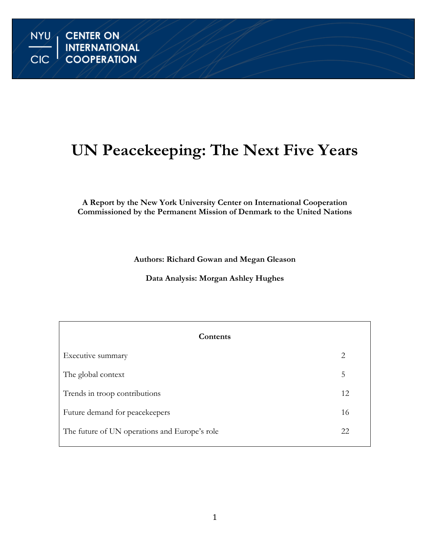# **UN Peacekeeping: The Next Five Years**

## **A Report by the New York University Center on International Cooperation Commissioned by the Permanent Mission of Denmark to the United Nations**

**Authors: Richard Gowan and Megan Gleason**

**Data Analysis: Morgan Ashley Hughes**

| Contents                                      |    |
|-----------------------------------------------|----|
| Executive summary                             | 2  |
| The global context                            | 5  |
| Trends in troop contributions                 | 12 |
| Future demand for peacekeepers                | 16 |
| The future of UN operations and Europe's role | 22 |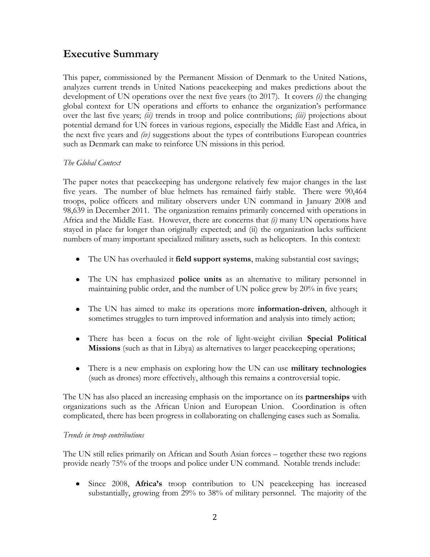# **Executive Summary**

This paper, commissioned by the Permanent Mission of Denmark to the United Nations, analyzes current trends in United Nations peacekeeping and makes predictions about the development of UN operations over the next five years (to 2017). It covers *(i)* the changing global context for UN operations and efforts to enhance the organization"s performance over the last five years; *(ii)* trends in troop and police contributions; *(iii)* projections about potential demand for UN forces in various regions, especially the Middle East and Africa, in the next five years and *(iv)* suggestions about the types of contributions European countries such as Denmark can make to reinforce UN missions in this period.

## *The Global Context*

The paper notes that peacekeeping has undergone relatively few major changes in the last five years. The number of blue helmets has remained fairly stable. There were 90,464 troops, police officers and military observers under UN command in January 2008 and 98,639 in December 2011. The organization remains primarily concerned with operations in Africa and the Middle East. However, there are concerns that *(i)* many UN operations have stayed in place far longer than originally expected; and (ii) the organization lacks sufficient numbers of many important specialized military assets, such as helicopters. In this context:

- The UN has overhauled it **field support systems**, making substantial cost savings;
- The UN has emphasized **police units** as an alternative to military personnel in maintaining public order, and the number of UN police grew by 20% in five years;
- The UN has aimed to make its operations more **information-driven**, although it sometimes struggles to turn improved information and analysis into timely action;
- There has been a focus on the role of light-weight civilian **Special Political Missions** (such as that in Libya) as alternatives to larger peacekeeping operations;
- There is a new emphasis on exploring how the UN can use **military technologies** (such as drones) more effectively, although this remains a controversial topic.

The UN has also placed an increasing emphasis on the importance on its **partnerships** with organizations such as the African Union and European Union. Coordination is often complicated, there has been progress in collaborating on challenging cases such as Somalia.

#### *Trends in troop contributions*

The UN still relies primarily on African and South Asian forces – together these two regions provide nearly 75% of the troops and police under UN command. Notable trends include:

Since 2008, **Africa's** troop contribution to UN peacekeeping has increased substantially, growing from 29% to 38% of military personnel. The majority of the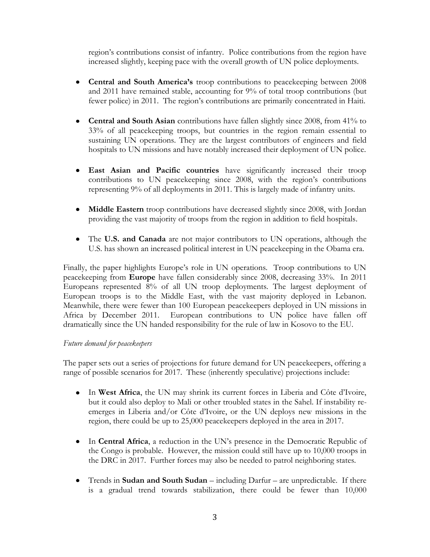region"s contributions consist of infantry. Police contributions from the region have increased slightly, keeping pace with the overall growth of UN police deployments.

- **Central and South America's** troop contributions to peacekeeping between 2008 and 2011 have remained stable, accounting for 9% of total troop contributions (but fewer police) in 2011. The region's contributions are primarily concentrated in Haiti.
- **Central and South Asian** contributions have fallen slightly since 2008, from 41% to 33% of all peacekeeping troops, but countries in the region remain essential to sustaining UN operations. They are the largest contributors of engineers and field hospitals to UN missions and have notably increased their deployment of UN police.
- **East Asian and Pacific countries** have significantly increased their troop contributions to UN peacekeeping since 2008, with the region's contributions representing 9% of all deployments in 2011. This is largely made of infantry units.
- **Middle Eastern** troop contributions have decreased slightly since 2008, with Jordan providing the vast majority of troops from the region in addition to field hospitals.
- The **U.S. and Canada** are not major contributors to UN operations, although the U.S. has shown an increased political interest in UN peacekeeping in the Obama era.

Finally, the paper highlights Europe's role in UN operations. Troop contributions to UN peacekeeping from **Europe** have fallen considerably since 2008, decreasing 33%. In 2011 Europeans represented 8% of all UN troop deployments. The largest deployment of European troops is to the Middle East, with the vast majority deployed in Lebanon. Meanwhile, there were fewer than 100 European peacekeepers deployed in UN missions in Africa by December 2011. European contributions to UN police have fallen off dramatically since the UN handed responsibility for the rule of law in Kosovo to the EU.

## *Future demand for peacekeepers*

The paper sets out a series of projections for future demand for UN peacekeepers, offering a range of possible scenarios for 2017. These (inherently speculative) projections include:

- In **West Africa**, the UN may shrink its current forces in Liberia and Côte d"Ivoire, but it could also deploy to Mali or other troubled states in the Sahel. If instability reemerges in Liberia and/or Côte d"Ivoire, or the UN deploys new missions in the region, there could be up to 25,000 peacekeepers deployed in the area in 2017.
- In **Central Africa**, a reduction in the UN"s presence in the Democratic Republic of the Congo is probable. However, the mission could still have up to 10,000 troops in the DRC in 2017. Further forces may also be needed to patrol neighboring states.
- Trends in **Sudan and South Sudan** including Darfur are unpredictable. If there is a gradual trend towards stabilization, there could be fewer than 10,000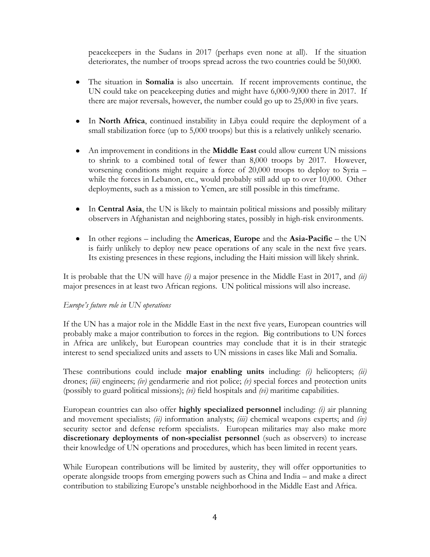peacekeepers in the Sudans in 2017 (perhaps even none at all). If the situation deteriorates, the number of troops spread across the two countries could be 50,000.

- The situation in **Somalia** is also uncertain. If recent improvements continue, the UN could take on peacekeeping duties and might have 6,000-9,000 there in 2017. If there are major reversals, however, the number could go up to 25,000 in five years.
- In **North Africa**, continued instability in Libya could require the deployment of a small stabilization force (up to 5,000 troops) but this is a relatively unlikely scenario.
- An improvement in conditions in the **Middle East** could allow current UN missions to shrink to a combined total of fewer than 8,000 troops by 2017. However, worsening conditions might require a force of 20,000 troops to deploy to Syria – while the forces in Lebanon, etc., would probably still add up to over 10,000. Other deployments, such as a mission to Yemen, are still possible in this timeframe.
- In **Central Asia**, the UN is likely to maintain political missions and possibly military observers in Afghanistan and neighboring states, possibly in high-risk environments.
- In other regions including the **Americas**, **Europe** and the **Asia-Pacific** the UN is fairly unlikely to deploy new peace operations of any scale in the next five years. Its existing presences in these regions, including the Haiti mission will likely shrink.

It is probable that the UN will have *(i)* a major presence in the Middle East in 2017, and *(ii)* major presences in at least two African regions. UN political missions will also increase.

#### *Europe's future role in UN operations*

If the UN has a major role in the Middle East in the next five years, European countries will probably make a major contribution to forces in the region. Big contributions to UN forces in Africa are unlikely, but European countries may conclude that it is in their strategic interest to send specialized units and assets to UN missions in cases like Mali and Somalia.

These contributions could include **major enabling units** including: *(i)* helicopters; *(ii)* drones; *(iii)* engineers; *(iv)* gendarmerie and riot police; *(v)* special forces and protection units (possibly to guard political missions); *(vi)* field hospitals and *(vi)* maritime capabilities.

European countries can also offer **highly specialized personnel** including: *(i)* air planning and movement specialists; *(ii)* information analysts; *(iii)* chemical weapons experts; and *(iv)* security sector and defense reform specialists. European militaries may also make more **discretionary deployments of non-specialist personnel** (such as observers) to increase their knowledge of UN operations and procedures, which has been limited in recent years.

While European contributions will be limited by austerity, they will offer opportunities to operate alongside troops from emerging powers such as China and India – and make a direct contribution to stabilizing Europe's unstable neighborhood in the Middle East and Africa.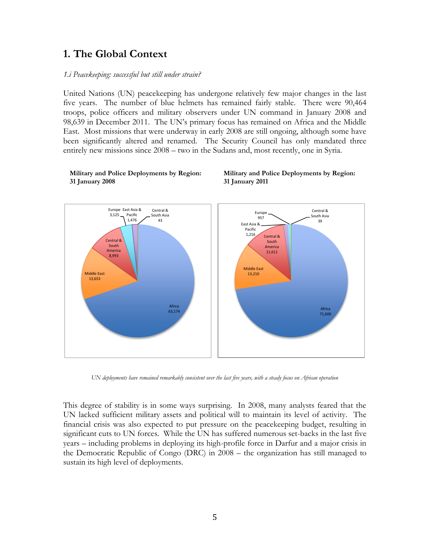# **1. The Global Context**

#### *1.i Peacekeeping: successful but still under strain?*

United Nations (UN) peacekeeping has undergone relatively few major changes in the last five years. The number of blue helmets has remained fairly stable. There were 90,464 troops, police officers and military observers under UN command in January 2008 and 98,639 in December 2011. The UN"s primary focus has remained on Africa and the Middle East. Most missions that were underway in early 2008 are still ongoing, although some have been significantly altered and renamed. The Security Council has only mandated three entirely new missions since 2008 – two in the Sudans and, most recently, one in Syria.



#### **Military and Police Deployments by Region: 31 January 2008**



*UN deployments have remained remarkably consistent over the last five years, with a steady focus on African operation*

This degree of stability is in some ways surprising. In 2008, many analysts feared that the UN lacked sufficient military assets and political will to maintain its level of activity. The financial crisis was also expected to put pressure on the peacekeeping budget, resulting in significant cuts to UN forces. While the UN has suffered numerous set-backs in the last five years – including problems in deploying its high-profile force in Darfur and a major crisis in the Democratic Republic of Congo (DRC) in 2008 – the organization has still managed to sustain its high level of deployments.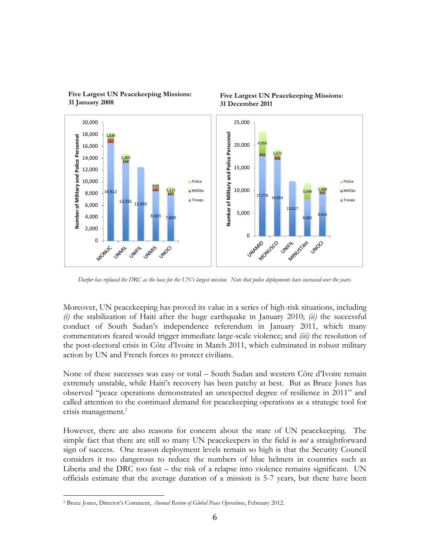

**Five Largest UN Peacekeeping Missions: 31 January 2008**

**Five Largest UN Peacekeeping Missions: 31 December 2011**

*Darfur has replaced the DRC as the base for the UN's largest mission. Note that police deployments have increased over the years.*

Moreover, UN peacekeeping has proved its value in a series of high-risk situations, including *(i)* the stabilization of Haiti after the huge earthquake in January 2010; *(ii)* the successful conduct of South Sudan"s independence referendum in January 2011, which many commentators feared would trigger immediate large-scale violence; and *(iii)* the resolution of the post-electoral crisis in Côte d"Ivoire in March 2011, which culminated in robust military action by UN and French forces to protect civilians.

None of these successes was easy or total – South Sudan and western Côte d"Ivoire remain extremely unstable, while Haiti"s recovery has been patchy at best. But as Bruce Jones has observed "peace operations demonstrated an unexpected degree of resilience in 2011" and called attention to the continued demand for peacekeeping operations as a strategic tool for crisis management. $1$ 

However, there are also reasons for concern about the state of UN peacekeeping. The simple fact that there are still so many UN peacekeepers in the field is *not* a straightforward sign of success. One reason deployment levels remain so high is that the Security Council considers it too dangerous to reduce the numbers of blue helmets in countries such as Liberia and the DRC too fast – the risk of a relapse into violence remains significant. UN officials estimate that the average duration of a mission is 5-7 years, but there have been

 $\overline{a}$ <sup>1</sup> Bruce Jones, Director"s Comment, *Annual Review of Global Peace Operations*, February 2012.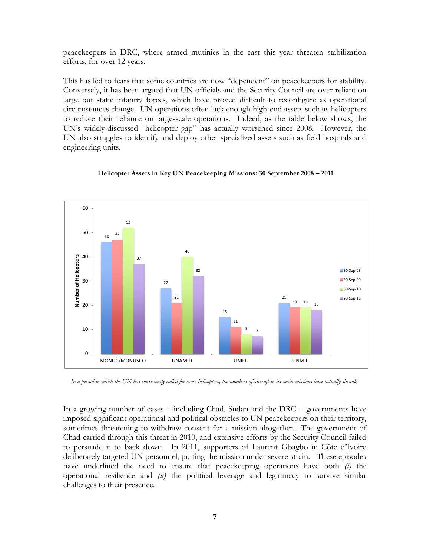peacekeepers in DRC, where armed mutinies in the east this year threaten stabilization efforts, for over 12 years.

This has led to fears that some countries are now "dependent" on peacekeepers for stability. Conversely, it has been argued that UN officials and the Security Council are over-reliant on large but static infantry forces, which have proved difficult to reconfigure as operational circumstances change. UN operations often lack enough high-end assets such as helicopters to reduce their reliance on large-scale operations. Indeed, as the table below shows, the UN"s widely-discussed "helicopter gap" has actually worsened since 2008. However, the UN also struggles to identify and deploy other specialized assets such as field hospitals and engineering units.



#### **Helicopter Assets in Key UN Peacekeeping Missions: 30 September 2008 – 2011**

*In a period in which the UN has consistently called for more helicopters, the numbers of aircraft in its main missions have actually shrunk.*

In a growing number of cases – including Chad, Sudan and the DRC – governments have imposed significant operational and political obstacles to UN peacekeepers on their territory, sometimes threatening to withdraw consent for a mission altogether. The government of Chad carried through this threat in 2010, and extensive efforts by the Security Council failed to persuade it to back down. In 2011, supporters of Laurent Gbagbo in Côte d"Ivoire deliberately targeted UN personnel, putting the mission under severe strain. These episodes have underlined the need to ensure that peacekeeping operations have both *(i)* the operational resilience and *(ii)* the political leverage and legitimacy to survive similar challenges to their presence.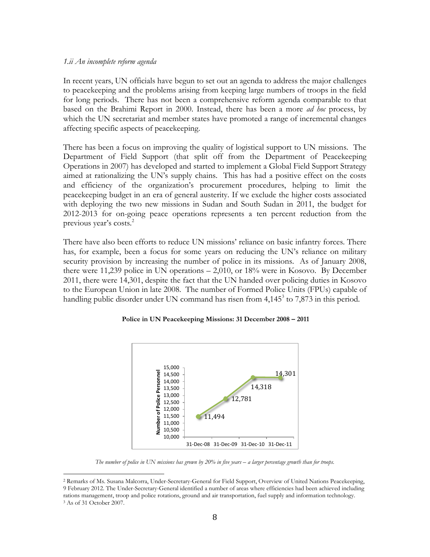#### *1.ii An incomplete reform agenda*

 $\overline{a}$ 

In recent years, UN officials have begun to set out an agenda to address the major challenges to peacekeeping and the problems arising from keeping large numbers of troops in the field for long periods. There has not been a comprehensive reform agenda comparable to that based on the Brahimi Report in 2000. Instead, there has been a more *ad hoc* process, by which the UN secretariat and member states have promoted a range of incremental changes affecting specific aspects of peacekeeping.

There has been a focus on improving the quality of logistical support to UN missions. The Department of Field Support (that split off from the Department of Peacekeeping Operations in 2007) has developed and started to implement a Global Field Support Strategy aimed at rationalizing the UN"s supply chains. This has had a positive effect on the costs and efficiency of the organization's procurement procedures, helping to limit the peacekeeping budget in an era of general austerity. If we exclude the higher costs associated with deploying the two new missions in Sudan and South Sudan in 2011, the budget for 2012-2013 for on-going peace operations represents a ten percent reduction from the previous year's costs. $2$ 

There have also been efforts to reduce UN missions' reliance on basic infantry forces. There has, for example, been a focus for some years on reducing the UN's reliance on military security provision by increasing the number of police in its missions. As of January 2008, there were 11,239 police in UN operations – 2,010, or 18% were in Kosovo. By December 2011, there were 14,301, despite the fact that the UN handed over policing duties in Kosovo to the European Union in late 2008. The number of Formed Police Units (FPUs) capable of handling public disorder under UN command has risen from  $4,145^3$  to  $7,873$  in this period.

#### **Police in UN Peacekeeping Missions: 31 December 2008 – 2011**



*The number of police in UN missions has grown by 20% in five years – a larger percentage growth than for troops.*

<sup>2</sup> Remarks of Ms. Susana Malcorra, Under-Secretary-General for Field Support, Overview of United Nations Peacekeeping, 9 February 2012. The Under-Secretary-General identified a number of areas where efficiencies had been achieved including rations management, troop and police rotations, ground and air transportation, fuel supply and information technology. <sup>3</sup> As of 31 October 2007.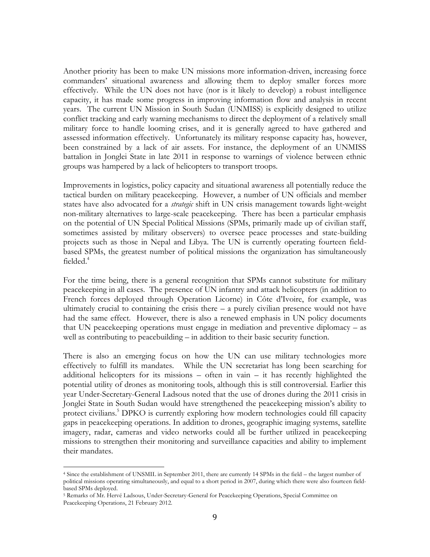Another priority has been to make UN missions more information-driven, increasing force commanders" situational awareness and allowing them to deploy smaller forces more effectively. While the UN does not have (nor is it likely to develop) a robust intelligence capacity, it has made some progress in improving information flow and analysis in recent years. The current UN Mission in South Sudan (UNMISS) is explicitly designed to utilize conflict tracking and early warning mechanisms to direct the deployment of a relatively small military force to handle looming crises, and it is generally agreed to have gathered and assessed information effectively. Unfortunately its military response capacity has, however, been constrained by a lack of air assets. For instance, the deployment of an UNMISS battalion in Jonglei State in late 2011 in response to warnings of violence between ethnic groups was hampered by a lack of helicopters to transport troops.

Improvements in logistics, policy capacity and situational awareness all potentially reduce the tactical burden on military peacekeeping. However, a number of UN officials and member states have also advocated for a *strategic* shift in UN crisis management towards light-weight non-military alternatives to large-scale peacekeeping. There has been a particular emphasis on the potential of UN Special Political Missions (SPMs, primarily made up of civilian staff, sometimes assisted by military observers) to oversee peace processes and state-building projects such as those in Nepal and Libya. The UN is currently operating fourteen fieldbased SPMs, the greatest number of political missions the organization has simultaneously  $fielded.<sup>4</sup>$ 

For the time being, there is a general recognition that SPMs cannot substitute for military peacekeeping in all cases. The presence of UN infantry and attack helicopters (in addition to French forces deployed through Operation Licorne) in Côte d"Ivoire, for example, was ultimately crucial to containing the crisis there  $-$  a purely civilian presence would not have had the same effect. However, there is also a renewed emphasis in UN policy documents that UN peacekeeping operations must engage in mediation and preventive diplomacy – as well as contributing to peacebuilding – in addition to their basic security function.

There is also an emerging focus on how the UN can use military technologies more effectively to fulfill its mandates. While the UN secretariat has long been searching for additional helicopters for its missions – often in vain – it has recently highlighted the potential utility of drones as monitoring tools, although this is still controversial. Earlier this year Under-Secretary-General Ladsous noted that the use of drones during the 2011 crisis in Jonglei State in South Sudan would have strengthened the peacekeeping mission"s ability to protect civilians.<sup>5</sup> DPKO is currently exploring how modern technologies could fill capacity gaps in peacekeeping operations. In addition to drones, geographic imaging systems, satellite imagery, radar, cameras and video networks could all be further utilized in peacekeeping missions to strengthen their monitoring and surveillance capacities and ability to implement their mandates.

 $\overline{a}$ 

<sup>4</sup> Since the establishment of UNSMIL in September 2011, there are currently 14 SPMs in the field – the largest number of political missions operating simultaneously, and equal to a short period in 2007, during which there were also fourteen fieldbased SPMs deployed.

<sup>5</sup> Remarks of Mr. Hervé Ladsous, Under-Secretary-General for Peacekeeping Operations, Special Committee on Peacekeeping Operations, 21 February 2012.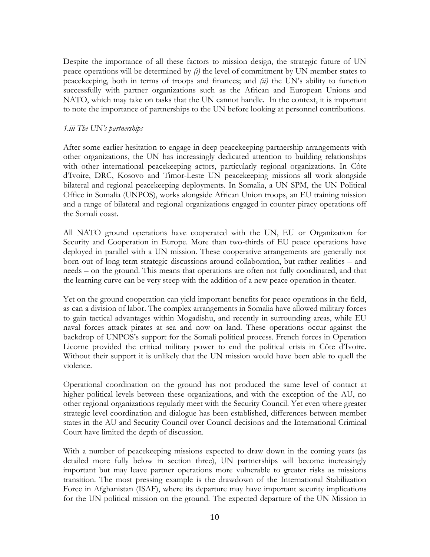Despite the importance of all these factors to mission design, the strategic future of UN peace operations will be determined by *(i)* the level of commitment by UN member states to peacekeeping, both in terms of troops and finances; and *(ii)* the UN"s ability to function successfully with partner organizations such as the African and European Unions and NATO, which may take on tasks that the UN cannot handle. In the context, it is important to note the importance of partnerships to the UN before looking at personnel contributions.

#### *1.iii The UN's partnerships*

After some earlier hesitation to engage in deep peacekeeping partnership arrangements with other organizations, the UN has increasingly dedicated attention to building relationships with other international peacekeeping actors, particularly regional organizations. In Côte d"Ivoire, DRC, Kosovo and Timor-Leste UN peacekeeping missions all work alongside bilateral and regional peacekeeping deployments. In Somalia, a UN SPM, the UN Political Office in Somalia (UNPOS), works alongside African Union troops, an EU training mission and a range of bilateral and regional organizations engaged in counter piracy operations off the Somali coast.

All NATO ground operations have cooperated with the UN, EU or Organization for Security and Cooperation in Europe. More than two-thirds of EU peace operations have deployed in parallel with a UN mission. These cooperative arrangements are generally not born out of long-term strategic discussions around collaboration, but rather realities – and needs – on the ground. This means that operations are often not fully coordinated, and that the learning curve can be very steep with the addition of a new peace operation in theater.

Yet on the ground cooperation can yield important benefits for peace operations in the field, as can a division of labor. The complex arrangements in Somalia have allowed military forces to gain tactical advantages within Mogadishu, and recently in surrounding areas, while EU naval forces attack pirates at sea and now on land. These operations occur against the backdrop of UNPOS"s support for the Somali political process. French forces in Operation Licorne provided the critical military power to end the political crisis in Côte d"Ivoire. Without their support it is unlikely that the UN mission would have been able to quell the violence.

Operational coordination on the ground has not produced the same level of contact at higher political levels between these organizations, and with the exception of the AU, no other regional organizations regularly meet with the Security Council. Yet even where greater strategic level coordination and dialogue has been established, differences between member states in the AU and Security Council over Council decisions and the International Criminal Court have limited the depth of discussion.

With a number of peacekeeping missions expected to draw down in the coming years (as detailed more fully below in section three), UN partnerships will become increasingly important but may leave partner operations more vulnerable to greater risks as missions transition. The most pressing example is the drawdown of the International Stabilization Force in Afghanistan (ISAF), where its departure may have important security implications for the UN political mission on the ground. The expected departure of the UN Mission in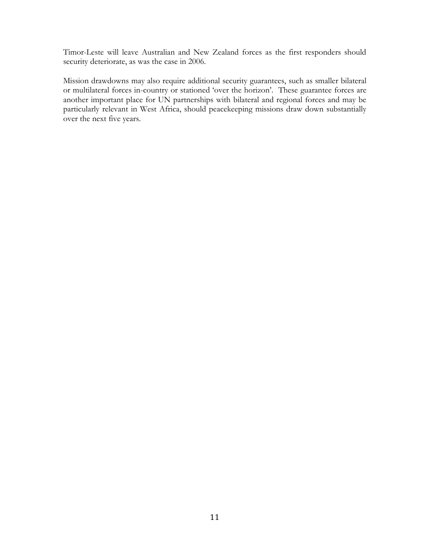Timor-Leste will leave Australian and New Zealand forces as the first responders should security deteriorate, as was the case in 2006.

Mission drawdowns may also require additional security guarantees, such as smaller bilateral or multilateral forces in-country or stationed "over the horizon". These guarantee forces are another important place for UN partnerships with bilateral and regional forces and may be particularly relevant in West Africa, should peacekeeping missions draw down substantially over the next five years.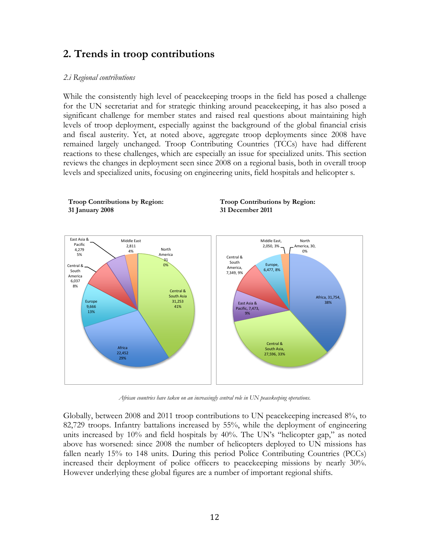## **2. Trends in troop contributions**

#### *2.i Regional contributions*

**Troop Contributions by Region:** 

While the consistently high level of peacekeeping troops in the field has posed a challenge for the UN secretariat and for strategic thinking around peacekeeping, it has also posed a significant challenge for member states and raised real questions about maintaining high levels of troop deployment, especially against the background of the global financial crisis and fiscal austerity. Yet, at noted above, aggregate troop deployments since 2008 have remained largely unchanged. Troop Contributing Countries (TCCs) have had different reactions to these challenges, which are especially an issue for specialized units. This section reviews the changes in deployment seen since 2008 on a regional basis, both in overall troop levels and specialized units, focusing on engineering units, field hospitals and helicopter s.

**Troop Contributions by Region:** 



*African countries have taken on an increasingly central role in UN peacekeeping operations.*

Globally, between 2008 and 2011 troop contributions to UN peacekeeping increased 8%, to 82,729 troops. Infantry battalions increased by 55%, while the deployment of engineering units increased by  $10\%$  and field hospitals by  $40\%$ . The UN's "helicopter gap," as noted above has worsened: since 2008 the number of helicopters deployed to UN missions has fallen nearly 15% to 148 units. During this period Police Contributing Countries (PCCs) increased their deployment of police officers to peacekeeping missions by nearly 30%. However underlying these global figures are a number of important regional shifts.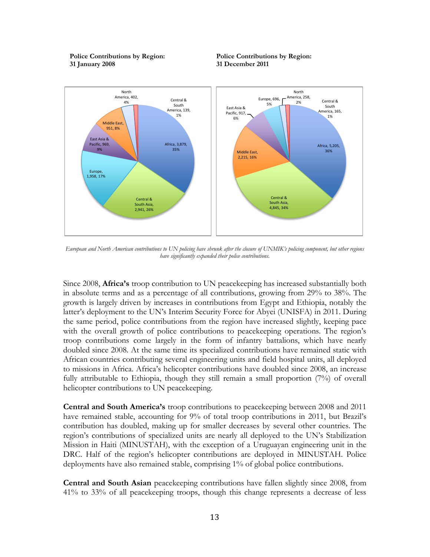**Police Contributions by Region: 31 January 2008**





*European and North American contributions to UN policing have shrunk after the closure of UNMIK's policing component, but other regions have significantly expanded their police contributions.*

Since 2008, **Africa's** troop contribution to UN peacekeeping has increased substantially both in absolute terms and as a percentage of all contributions, growing from 29% to 38%. The growth is largely driven by increases in contributions from Egypt and Ethiopia, notably the latter's deployment to the UN's Interim Security Force for Abyei (UNISFA) in 2011. During the same period, police contributions from the region have increased slightly, keeping pace with the overall growth of police contributions to peace keeping operations. The region's troop contributions come largely in the form of infantry battalions, which have nearly doubled since 2008. At the same time its specialized contributions have remained static with African countries contributing several engineering units and field hospital units, all deployed to missions in Africa. Africa"s helicopter contributions have doubled since 2008, an increase fully attributable to Ethiopia, though they still remain a small proportion (7%) of overall helicopter contributions to UN peacekeeping.

**Central and South America's** troop contributions to peacekeeping between 2008 and 2011 have remained stable, accounting for 9% of total troop contributions in 2011, but Brazil's contribution has doubled, making up for smaller decreases by several other countries. The region"s contributions of specialized units are nearly all deployed to the UN"s Stabilization Mission in Haiti (MINUSTAH), with the exception of a Uruguayan engineering unit in the DRC. Half of the region"s helicopter contributions are deployed in MINUSTAH. Police deployments have also remained stable, comprising 1% of global police contributions.

**Central and South Asian** peacekeeping contributions have fallen slightly since 2008, from 41% to 33% of all peacekeeping troops, though this change represents a decrease of less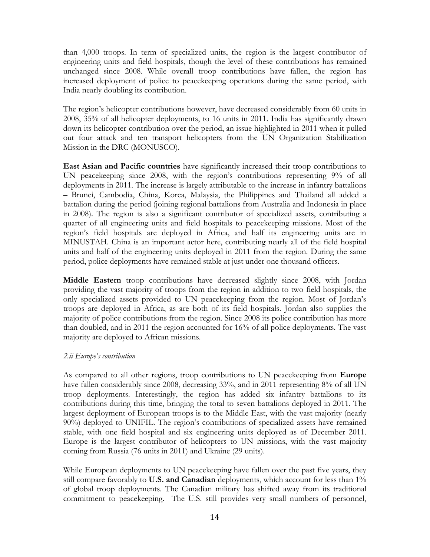than 4,000 troops. In term of specialized units, the region is the largest contributor of engineering units and field hospitals, though the level of these contributions has remained unchanged since 2008. While overall troop contributions have fallen, the region has increased deployment of police to peacekeeping operations during the same period, with India nearly doubling its contribution.

The region"s helicopter contributions however, have decreased considerably from 60 units in 2008, 35% of all helicopter deployments, to 16 units in 2011. India has significantly drawn down its helicopter contribution over the period, an issue highlighted in 2011 when it pulled out four attack and ten transport helicopters from the UN Organization Stabilization Mission in the DRC (MONUSCO).

**East Asian and Pacific countries** have significantly increased their troop contributions to UN peacekeeping since 2008, with the region"s contributions representing 9% of all deployments in 2011. The increase is largely attributable to the increase in infantry battalions – Brunei, Cambodia, China, Korea, Malaysia, the Philippines and Thailand all added a battalion during the period (joining regional battalions from Australia and Indonesia in place in 2008). The region is also a significant contributor of specialized assets, contributing a quarter of all engineering units and field hospitals to peacekeeping missions. Most of the region"s field hospitals are deployed in Africa, and half its engineering units are in MINUSTAH. China is an important actor here, contributing nearly all of the field hospital units and half of the engineering units deployed in 2011 from the region. During the same period, police deployments have remained stable at just under one thousand officers.

**Middle Eastern** troop contributions have decreased slightly since 2008, with Jordan providing the vast majority of troops from the region in addition to two field hospitals, the only specialized assets provided to UN peacekeeping from the region. Most of Jordan"s troops are deployed in Africa, as are both of its field hospitals. Jordan also supplies the majority of police contributions from the region. Since 2008 its police contribution has more than doubled, and in 2011 the region accounted for 16% of all police deployments. The vast majority are deployed to African missions.

#### *2.ii Europe's contribution*

As compared to all other regions, troop contributions to UN peacekeeping from **Europe**  have fallen considerably since 2008, decreasing 33%, and in 2011 representing 8% of all UN troop deployments. Interestingly, the region has added six infantry battalions to its contributions during this time, bringing the total to seven battalions deployed in 2011. The largest deployment of European troops is to the Middle East, with the vast majority (nearly 90%) deployed to UNIFIL. The region"s contributions of specialized assets have remained stable, with one field hospital and six engineering units deployed as of December 2011. Europe is the largest contributor of helicopters to UN missions, with the vast majority coming from Russia (76 units in 2011) and Ukraine (29 units).

While European deployments to UN peace keeping have fallen over the past five years, they still compare favorably to **U.S. and Canadian** deployments, which account for less than 1% of global troop deployments. The Canadian military has shifted away from its traditional commitment to peacekeeping. The U.S. still provides very small numbers of personnel,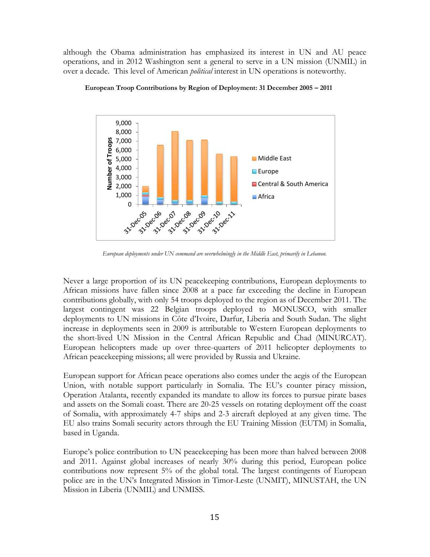although the Obama administration has emphasized its interest in UN and AU peace operations, and in 2012 Washington sent a general to serve in a UN mission (UNMIL) in over a decade. This level of American *political* interest in UN operations is noteworthy.



**European Troop Contributions by Region of Deployment: 31 December 2005 – 2011**

*European deployments under UN command are overwhelmingly in the Middle East, primarily in Lebanon.*

Never a large proportion of its UN peacekeeping contributions, European deployments to African missions have fallen since 2008 at a pace far exceeding the decline in European contributions globally, with only 54 troops deployed to the region as of December 2011. The largest contingent was 22 Belgian troops deployed to MONUSCO, with smaller deployments to UN missions in Côte d"Ivoire, Darfur, Liberia and South Sudan. The slight increase in deployments seen in 2009 is attributable to Western European deployments to the short-lived UN Mission in the Central African Republic and Chad (MINURCAT). European helicopters made up over three-quarters of 2011 helicopter deployments to African peacekeeping missions; all were provided by Russia and Ukraine.

European support for African peace operations also comes under the aegis of the European Union, with notable support particularly in Somalia. The EU's counter piracy mission, Operation Atalanta, recently expanded its mandate to allow its forces to pursue pirate bases and assets on the Somali coast. There are 20-25 vessels on rotating deployment off the coast of Somalia, with approximately 4-7 ships and 2-3 aircraft deployed at any given time. The EU also trains Somali security actors through the EU Training Mission (EUTM) in Somalia, based in Uganda.

Europe"s police contribution to UN peacekeeping has been more than halved between 2008 and 2011. Against global increases of nearly 30% during this period, European police contributions now represent 5% of the global total. The largest contingents of European police are in the UN"s Integrated Mission in Timor-Leste (UNMIT), MINUSTAH, the UN Mission in Liberia (UNMIL) and UNMISS.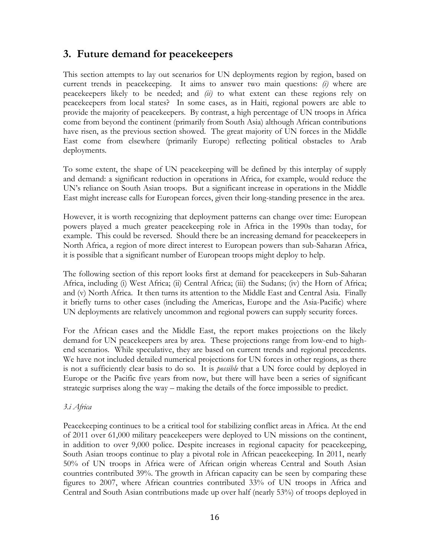# **3. Future demand for peacekeepers**

This section attempts to lay out scenarios for UN deployments region by region, based on current trends in peacekeeping. It aims to answer two main questions: *(i)* where are peacekeepers likely to be needed; and *(ii)* to what extent can these regions rely on peacekeepers from local states? In some cases, as in Haiti, regional powers are able to provide the majority of peacekeepers. By contrast, a high percentage of UN troops in Africa come from beyond the continent (primarily from South Asia) although African contributions have risen, as the previous section showed. The great majority of UN forces in the Middle East come from elsewhere (primarily Europe) reflecting political obstacles to Arab deployments.

To some extent, the shape of UN peacekeeping will be defined by this interplay of supply and demand: a significant reduction in operations in Africa, for example, would reduce the UN"s reliance on South Asian troops. But a significant increase in operations in the Middle East might increase calls for European forces, given their long-standing presence in the area.

However, it is worth recognizing that deployment patterns can change over time: European powers played a much greater peacekeeping role in Africa in the 1990s than today, for example. This could be reversed. Should there be an increasing demand for peacekeepers in North Africa, a region of more direct interest to European powers than sub-Saharan Africa, it is possible that a significant number of European troops might deploy to help.

The following section of this report looks first at demand for peacekeepers in Sub-Saharan Africa, including (i) West Africa; (ii) Central Africa; (iii) the Sudans; (iv) the Horn of Africa; and (v) North Africa. It then turns its attention to the Middle East and Central Asia. Finally it briefly turns to other cases (including the Americas, Europe and the Asia-Pacific) where UN deployments are relatively uncommon and regional powers can supply security forces.

For the African cases and the Middle East, the report makes projections on the likely demand for UN peacekeepers area by area. These projections range from low-end to highend scenarios. While speculative, they are based on current trends and regional precedents. We have not included detailed numerical projections for UN forces in other regions, as there is not a sufficiently clear basis to do so. It is *possible* that a UN force could by deployed in Europe or the Pacific five years from now, but there will have been a series of significant strategic surprises along the way – making the details of the force impossible to predict.

## *3.i Africa*

Peacekeeping continues to be a critical tool for stabilizing conflict areas in Africa. At the end of 2011 over 61,000 military peacekeepers were deployed to UN missions on the continent, in addition to over 9,000 police. Despite increases in regional capacity for peacekeeping, South Asian troops continue to play a pivotal role in African peacekeeping. In 2011, nearly 50% of UN troops in Africa were of African origin whereas Central and South Asian countries contributed 39%. The growth in African capacity can be seen by comparing these figures to 2007, where African countries contributed 33% of UN troops in Africa and Central and South Asian contributions made up over half (nearly 53%) of troops deployed in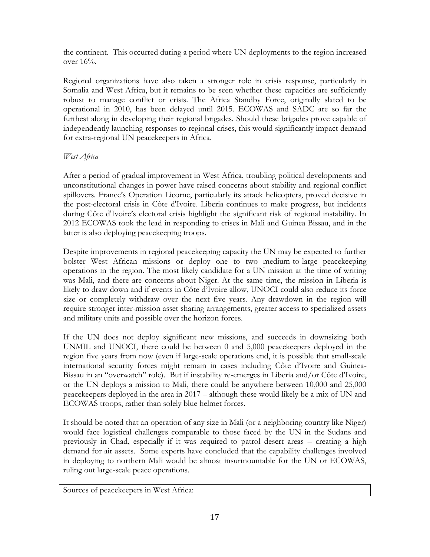the continent. This occurred during a period where UN deployments to the region increased over 16%.

Regional organizations have also taken a stronger role in crisis response, particularly in Somalia and West Africa, but it remains to be seen whether these capacities are sufficiently robust to manage conflict or crisis. The Africa Standby Force, originally slated to be operational in 2010, has been delayed until 2015. ECOWAS and SADC are so far the furthest along in developing their regional brigades. Should these brigades prove capable of independently launching responses to regional crises, this would significantly impact demand for extra-regional UN peacekeepers in Africa.

## *West Africa*

After a period of gradual improvement in West Africa, troubling political developments and unconstitutional changes in power have raised concerns about stability and regional conflict spillovers. France's Operation Licorne, particularly its attack helicopters, proved decisive in the post-electoral crisis in Côte d'Ivoire. Liberia continues to make progress, but incidents during Côte d'Ivoire"s electoral crisis highlight the significant risk of regional instability. In 2012 ECOWAS took the lead in responding to crises in Mali and Guinea Bissau, and in the latter is also deploying peacekeeping troops.

Despite improvements in regional peacekeeping capacity the UN may be expected to further bolster West African missions or deploy one to two medium-to-large peacekeeping operations in the region. The most likely candidate for a UN mission at the time of writing was Mali, and there are concerns about Niger. At the same time, the mission in Liberia is likely to draw down and if events in Côte d"Ivoire allow, UNOCI could also reduce its force size or completely withdraw over the next five years. Any drawdown in the region will require stronger inter-mission asset sharing arrangements, greater access to specialized assets and military units and possible over the horizon forces.

If the UN does not deploy significant new missions, and succeeds in downsizing both UNMIL and UNOCI, there could be between 0 and 5,000 peacekeepers deployed in the region five years from now (even if large-scale operations end, it is possible that small-scale international security forces might remain in cases including Côte d"Ivoire and Guinea-Bissau in an "overwatch" role). But if instability re-emerges in Liberia and/or Côte d"Ivoire, or the UN deploys a mission to Mali, there could be anywhere between 10,000 and 25,000 peacekeepers deployed in the area in 2017 – although these would likely be a mix of UN and ECOWAS troops, rather than solely blue helmet forces.

It should be noted that an operation of any size in Mali (or a neighboring country like Niger) would face logistical challenges comparable to those faced by the UN in the Sudans and previously in Chad, especially if it was required to patrol desert areas – creating a high demand for air assets. Some experts have concluded that the capability challenges involved in deploying to northern Mali would be almost insurmountable for the UN or ECOWAS, ruling out large-scale peace operations.

Sources of peacekeepers in West Africa: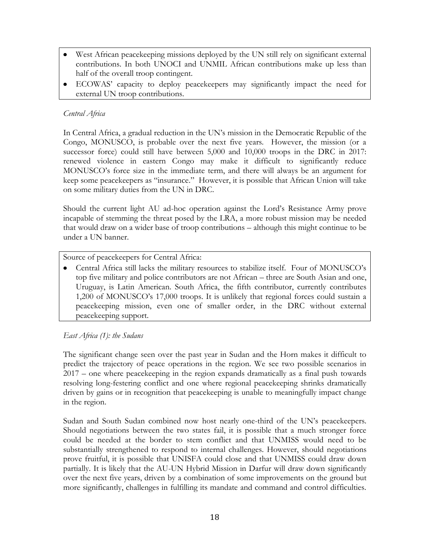- West African peacekeeping missions deployed by the UN still rely on significant external contributions. In both UNOCI and UNMIL African contributions make up less than half of the overall troop contingent.
- ECOWAS" capacity to deploy peacekeepers may significantly impact the need for external UN troop contributions.

## *Central Africa*

In Central Africa, a gradual reduction in the UN"s mission in the Democratic Republic of the Congo, MONUSCO, is probable over the next five years. However, the mission (or a successor force) could still have between 5,000 and 10,000 troops in the DRC in 2017: renewed violence in eastern Congo may make it difficult to significantly reduce MONUSCO"s force size in the immediate term, and there will always be an argument for keep some peacekeepers as "insurance." However, it is possible that African Union will take on some military duties from the UN in DRC.

Should the current light AU ad-hoc operation against the Lord"s Resistance Army prove incapable of stemming the threat posed by the LRA, a more robust mission may be needed that would draw on a wider base of troop contributions – although this might continue to be under a UN banner.

## Source of peacekeepers for Central Africa:

Central Africa still lacks the military resources to stabilize itself. Four of MONUSCO"s top five military and police contributors are not African – three are South Asian and one, Uruguay, is Latin American. South Africa, the fifth contributor, currently contributes 1,200 of MONUSCO"s 17,000 troops. It is unlikely that regional forces could sustain a peacekeeping mission, even one of smaller order, in the DRC without external peacekeeping support.

## *East Africa (1): the Sudans*

The significant change seen over the past year in Sudan and the Horn makes it difficult to predict the trajectory of peace operations in the region. We see two possible scenarios in 2017 – one where peacekeeping in the region expands dramatically as a final push towards resolving long-festering conflict and one where regional peacekeeping shrinks dramatically driven by gains or in recognition that peacekeeping is unable to meaningfully impact change in the region.

Sudan and South Sudan combined now host nearly one-third of the UN"s peacekeepers. Should negotiations between the two states fail, it is possible that a much stronger force could be needed at the border to stem conflict and that UNMISS would need to be substantially strengthened to respond to internal challenges. However, should negotiations prove fruitful, it is possible that UNISFA could close and that UNMISS could draw down partially. It is likely that the AU-UN Hybrid Mission in Darfur will draw down significantly over the next five years, driven by a combination of some improvements on the ground but more significantly, challenges in fulfilling its mandate and command and control difficulties.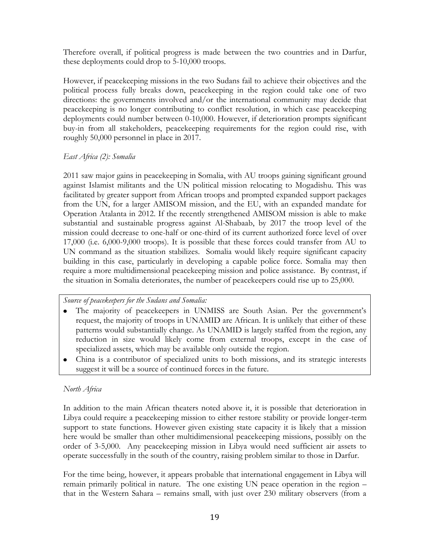Therefore overall, if political progress is made between the two countries and in Darfur, these deployments could drop to 5-10,000 troops.

However, if peacekeeping missions in the two Sudans fail to achieve their objectives and the political process fully breaks down, peacekeeping in the region could take one of two directions: the governments involved and/or the international community may decide that peacekeeping is no longer contributing to conflict resolution, in which case peacekeeping deployments could number between 0-10,000. However, if deterioration prompts significant buy-in from all stakeholders, peacekeeping requirements for the region could rise, with roughly 50,000 personnel in place in 2017.

#### *East Africa (2): Somalia*

2011 saw major gains in peacekeeping in Somalia, with AU troops gaining significant ground against Islamist militants and the UN political mission relocating to Mogadishu. This was facilitated by greater support from African troops and prompted expanded support packages from the UN, for a larger AMISOM mission, and the EU, with an expanded mandate for Operation Atalanta in 2012. If the recently strengthened AMISOM mission is able to make substantial and sustainable progress against Al-Shabaab, by 2017 the troop level of the mission could decrease to one-half or one-third of its current authorized force level of over 17,000 (i.e. 6,000-9,000 troops). It is possible that these forces could transfer from AU to UN command as the situation stabilizes. Somalia would likely require significant capacity building in this case, particularly in developing a capable police force. Somalia may then require a more multidimensional peacekeeping mission and police assistance. By contrast, if the situation in Somalia deteriorates, the number of peacekeepers could rise up to 25,000.

#### *Source of peacekeepers for the Sudans and Somalia:*

- The majority of peacekeepers in UNMISS are South Asian. Per the government's request, the majority of troops in UNAMID are African. It is unlikely that either of these patterns would substantially change. As UNAMID is largely staffed from the region, any reduction in size would likely come from external troops, except in the case of specialized assets, which may be available only outside the region.
- China is a contributor of specialized units to both missions, and its strategic interests suggest it will be a source of continued forces in the future.

## *North Africa*

In addition to the main African theaters noted above it, it is possible that deterioration in Libya could require a peacekeeping mission to either restore stability or provide longer-term support to state functions. However given existing state capacity it is likely that a mission here would be smaller than other multidimensional peacekeeping missions, possibly on the order of 3-5,000. Any peacekeeping mission in Libya would need sufficient air assets to operate successfully in the south of the country, raising problem similar to those in Darfur.

For the time being, however, it appears probable that international engagement in Libya will remain primarily political in nature. The one existing UN peace operation in the region – that in the Western Sahara – remains small, with just over 230 military observers (from a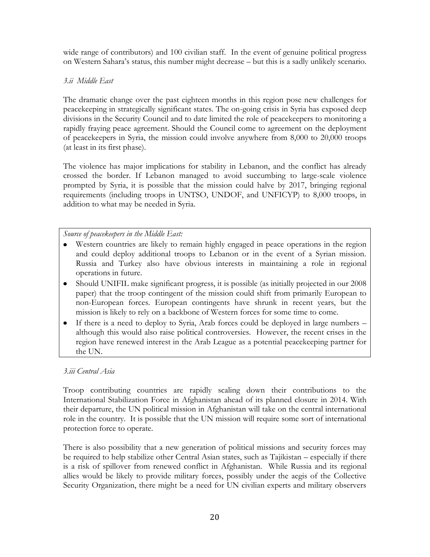wide range of contributors) and 100 civilian staff. In the event of genuine political progress on Western Sahara"s status, this number might decrease – but this is a sadly unlikely scenario.

## *3.ii Middle East*

The dramatic change over the past eighteen months in this region pose new challenges for peacekeeping in strategically significant states. The on-going crisis in Syria has exposed deep divisions in the Security Council and to date limited the role of peacekeepers to monitoring a rapidly fraying peace agreement. Should the Council come to agreement on the deployment of peacekeepers in Syria, the mission could involve anywhere from 8,000 to 20,000 troops (at least in its first phase).

The violence has major implications for stability in Lebanon, and the conflict has already crossed the border. If Lebanon managed to avoid succumbing to large-scale violence prompted by Syria, it is possible that the mission could halve by 2017, bringing regional requirements (including troops in UNTSO, UNDOF, and UNFICYP) to 8,000 troops, in addition to what may be needed in Syria.

## *Source of peacekeepers in the Middle East:*

- Western countries are likely to remain highly engaged in peace operations in the region and could deploy additional troops to Lebanon or in the event of a Syrian mission. Russia and Turkey also have obvious interests in maintaining a role in regional operations in future.
- Should UNIFIL make significant progress, it is possible (as initially projected in our 2008 paper) that the troop contingent of the mission could shift from primarily European to non-European forces. European contingents have shrunk in recent years, but the mission is likely to rely on a backbone of Western forces for some time to come.
- If there is a need to deploy to Syria, Arab forces could be deployed in large numbers although this would also raise political controversies. However, the recent crises in the region have renewed interest in the Arab League as a potential peacekeeping partner for the UN.

## *3.iii Central Asia*

Troop contributing countries are rapidly scaling down their contributions to the International Stabilization Force in Afghanistan ahead of its planned closure in 2014. With their departure, the UN political mission in Afghanistan will take on the central international role in the country. It is possible that the UN mission will require some sort of international protection force to operate.

There is also possibility that a new generation of political missions and security forces may be required to help stabilize other Central Asian states, such as Tajikistan – especially if there is a risk of spillover from renewed conflict in Afghanistan. While Russia and its regional allies would be likely to provide military forces, possibly under the aegis of the Collective Security Organization, there might be a need for UN civilian experts and military observers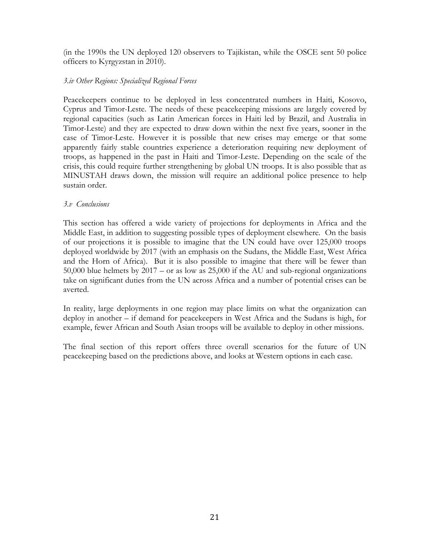(in the 1990s the UN deployed 120 observers to Tajikistan, while the OSCE sent 50 police officers to Kyrgyzstan in 2010).

## *3.iv Other Regions: Specialized Regional Forces*

Peacekeepers continue to be deployed in less concentrated numbers in Haiti, Kosovo, Cyprus and Timor-Leste. The needs of these peacekeeping missions are largely covered by regional capacities (such as Latin American forces in Haiti led by Brazil, and Australia in Timor-Leste) and they are expected to draw down within the next five years, sooner in the case of Timor-Leste. However it is possible that new crises may emerge or that some apparently fairly stable countries experience a deterioration requiring new deployment of troops, as happened in the past in Haiti and Timor-Leste. Depending on the scale of the crisis, this could require further strengthening by global UN troops. It is also possible that as MINUSTAH draws down, the mission will require an additional police presence to help sustain order.

#### *3.v Conclusions*

This section has offered a wide variety of projections for deployments in Africa and the Middle East, in addition to suggesting possible types of deployment elsewhere. On the basis of our projections it is possible to imagine that the UN could have over 125,000 troops deployed worldwide by 2017 (with an emphasis on the Sudans, the Middle East, West Africa and the Horn of Africa). But it is also possible to imagine that there will be fewer than 50,000 blue helmets by 2017 – or as low as 25,000 if the AU and sub-regional organizations take on significant duties from the UN across Africa and a number of potential crises can be averted.

In reality, large deployments in one region may place limits on what the organization can deploy in another – if demand for peacekeepers in West Africa and the Sudans is high, for example, fewer African and South Asian troops will be available to deploy in other missions.

The final section of this report offers three overall scenarios for the future of UN peacekeeping based on the predictions above, and looks at Western options in each case.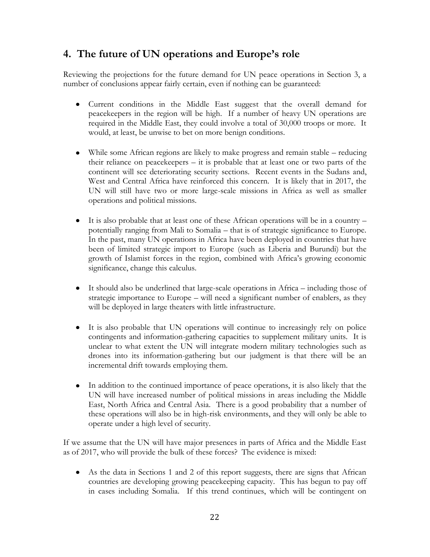# **4. The future of UN operations and Europe's role**

Reviewing the projections for the future demand for UN peace operations in Section 3, a number of conclusions appear fairly certain, even if nothing can be guaranteed:

- Current conditions in the Middle East suggest that the overall demand for peacekeepers in the region will be high. If a number of heavy UN operations are required in the Middle East, they could involve a total of 30,000 troops or more. It would, at least, be unwise to bet on more benign conditions.
- While some African regions are likely to make progress and remain stable reducing their reliance on peacekeepers – it is probable that at least one or two parts of the continent will see deteriorating security sections. Recent events in the Sudans and, West and Central Africa have reinforced this concern. It is likely that in 2017, the UN will still have two or more large-scale missions in Africa as well as smaller operations and political missions.
- $\bullet$  It is also probable that at least one of these African operations will be in a country potentially ranging from Mali to Somalia – that is of strategic significance to Europe. In the past, many UN operations in Africa have been deployed in countries that have been of limited strategic import to Europe (such as Liberia and Burundi) but the growth of Islamist forces in the region, combined with Africa"s growing economic significance, change this calculus.
- It should also be underlined that large-scale operations in Africa including those of strategic importance to Europe – will need a significant number of enablers, as they will be deployed in large theaters with little infrastructure.
- $\bullet$ It is also probable that UN operations will continue to increasingly rely on police contingents and information-gathering capacities to supplement military units. It is unclear to what extent the UN will integrate modern military technologies such as drones into its information-gathering but our judgment is that there will be an incremental drift towards employing them.
- In addition to the continued importance of peace operations, it is also likely that the  $\bullet$ UN will have increased number of political missions in areas including the Middle East, North Africa and Central Asia. There is a good probability that a number of these operations will also be in high-risk environments, and they will only be able to operate under a high level of security.

If we assume that the UN will have major presences in parts of Africa and the Middle East as of 2017, who will provide the bulk of these forces? The evidence is mixed:

As the data in Sections 1 and 2 of this report suggests, there are signs that African countries are developing growing peacekeeping capacity. This has begun to pay off in cases including Somalia. If this trend continues, which will be contingent on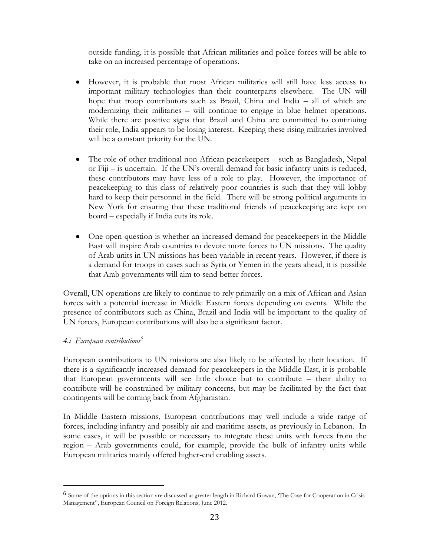outside funding, it is possible that African militaries and police forces will be able to take on an increased percentage of operations.

- However, it is probable that most African militaries will still have less access to important military technologies than their counterparts elsewhere. The UN will hope that troop contributors such as Brazil, China and India – all of which are modernizing their militaries – will continue to engage in blue helmet operations. While there are positive signs that Brazil and China are committed to continuing their role, India appears to be losing interest. Keeping these rising militaries involved will be a constant priority for the UN.
- The role of other traditional non-African peacekeepers such as Bangladesh, Nepal or Fiji – is uncertain. If the UN"s overall demand for basic infantry units is reduced, these contributors may have less of a role to play. However, the importance of peacekeeping to this class of relatively poor countries is such that they will lobby hard to keep their personnel in the field. There will be strong political arguments in New York for ensuring that these traditional friends of peacekeeping are kept on board – especially if India cuts its role.
- One open question is whether an increased demand for peacekeepers in the Middle East will inspire Arab countries to devote more forces to UN missions. The quality of Arab units in UN missions has been variable in recent years. However, if there is a demand for troops in cases such as Syria or Yemen in the years ahead, it is possible that Arab governments will aim to send better forces.

Overall, UN operations are likely to continue to rely primarily on a mix of African and Asian forces with a potential increase in Middle Eastern forces depending on events. While the presence of contributors such as China, Brazil and India will be important to the quality of UN forces, European contributions will also be a significant factor.

## *4.i European contributions<sup>6</sup>*

 $\overline{a}$ 

European contributions to UN missions are also likely to be affected by their location. If there is a significantly increased demand for peacekeepers in the Middle East, it is probable that European governments will see little choice but to contribute – their ability to contribute will be constrained by military concerns, but may be facilitated by the fact that contingents will be coming back from Afghanistan.

In Middle Eastern missions, European contributions may well include a wide range of forces, including infantry and possibly air and maritime assets, as previously in Lebanon. In some cases, it will be possible or necessary to integrate these units with forces from the region – Arab governments could, for example, provide the bulk of infantry units while European militaries mainly offered higher-end enabling assets.

<sup>6</sup> Some of the options in this section are discussed at greater length in Richard Gowan, "The Case for Cooperation in Crisis Management", European Council on Foreign Relations, June 2012.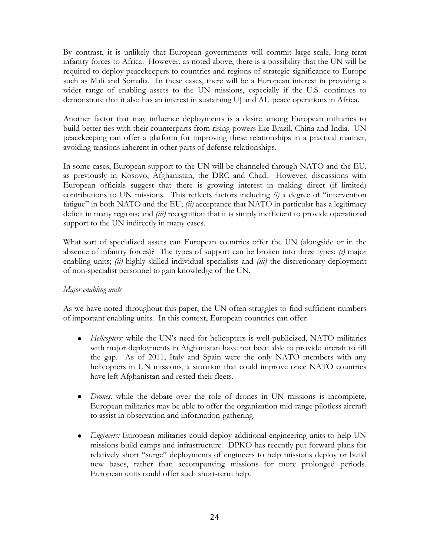By contrast, it is unlikely that European governments will commit large-scale, long-term infantry forces to Africa. However, as noted above, there is a possibility that the UN will be required to deploy peacekeepers to countries and regions of strategic significance to Europe such as Mali and Somalia. In these cases, there will be a European interest in providing a wider range of enabling assets to the UN missions, especially if the U.S. continues to demonstrate that it also has an interest in sustaining UJ and AU peace operations in Africa.

Another factor that may influence deployments is a desire among European militaries to build better ties with their counterparts from rising powers like Brazil, China and India. UN peacekeeping can offer a platform for improving these relationships in a practical manner, avoiding tensions inherent in other parts of defense relationships.

In some cases, European support to the UN will be channeled through NATO and the EU, as previously in Kosovo, Afghanistan, the DRC and Chad. However, discussions with European officials suggest that there is growing interest in making direct (if limited) contributions to UN missions. This reflects factors including *(i)* a degree of "intervention fatigue" in both NATO and the EU; *(ii)* acceptance that NATO in particular has a legitimacy deficit in many regions; and *(iii)* recognition that it is simply inefficient to provide operational support to the UN indirectly in many cases.

What sort of specialized assets can European countries offer the UN (alongside or in the absence of infantry forces)? The types of support can be broken into three types: *(i)* major enabling units; *(ii)* highly-skilled individual specialists and *(iii)* the discretionary deployment of non-specialist personnel to gain knowledge of the UN.

## *Major enabling units*

As we have noted throughout this paper, the UN often struggles to find sufficient numbers of important enabling units. In this context, European countries can offer:

- *Helicopters:* while the UN"s need for helicopters is well-publicized, NATO militaries  $\bullet$ with major deployments in Afghanistan have not been able to provide aircraft to fill the gap. As of 2011, Italy and Spain were the only NATO members with any helicopters in UN missions, a situation that could improve once NATO countries have left Afghanistan and rested their fleets.
- *Drones:* while the debate over the role of drones in UN missions is incomplete, European militaries may be able to offer the organization mid-range pilotless aircraft to assist in observation and information-gathering.
- *Engineers:* European militaries could deploy additional engineering units to help UN missions build camps and infrastructure. DPKO has recently put forward plans for relatively short "surge" deployments of engineers to help missions deploy or build new bases, rather than accompanying missions for more prolonged periods. European units could offer such short-term help.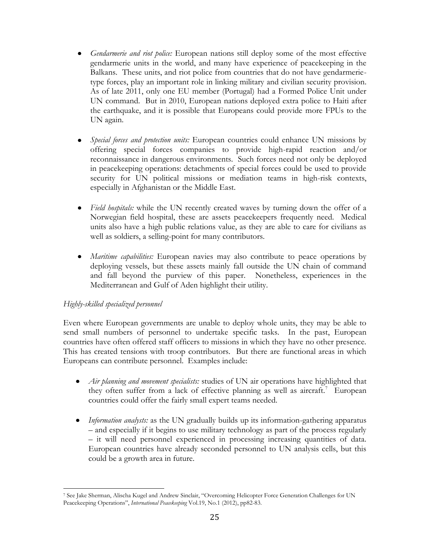- *Gendarmerie and riot police:* European nations still deploy some of the most effective  $\bullet$ gendarmerie units in the world, and many have experience of peacekeeping in the Balkans. These units, and riot police from countries that do not have gendarmerietype forces, play an important role in linking military and civilian security provision. As of late 2011, only one EU member (Portugal) had a Formed Police Unit under UN command. But in 2010, European nations deployed extra police to Haiti after the earthquake, and it is possible that Europeans could provide more FPUs to the UN again.
- *Special forces and protection units:* European countries could enhance UN missions by offering special forces companies to provide high-rapid reaction and/or reconnaissance in dangerous environments. Such forces need not only be deployed in peacekeeping operations: detachments of special forces could be used to provide security for UN political missions or mediation teams in high-risk contexts, especially in Afghanistan or the Middle East.
- *Field hospitals:* while the UN recently created waves by turning down the offer of a  $\bullet$ Norwegian field hospital, these are assets peacekeepers frequently need. Medical units also have a high public relations value, as they are able to care for civilians as well as soldiers, a selling-point for many contributors.
- *Maritime capabilities:* European navies may also contribute to peace operations by deploying vessels, but these assets mainly fall outside the UN chain of command and fall beyond the purview of this paper. Nonetheless, experiences in the Mediterranean and Gulf of Aden highlight their utility.

## *Highly-skilled specialized personnel*

Even where European governments are unable to deploy whole units, they may be able to send small numbers of personnel to undertake specific tasks. In the past, European countries have often offered staff officers to missions in which they have no other presence. This has created tensions with troop contributors. But there are functional areas in which Europeans can contribute personnel. Examples include:

- *Air planning and movement specialists:* studies of UN air operations have highlighted that they often suffer from a lack of effective planning as well as aircraft.<sup>7</sup> European countries could offer the fairly small expert teams needed.
- *Information analysts:* as the UN gradually builds up its information-gathering apparatus – and especially if it begins to use military technology as part of the process regularly – it will need personnel experienced in processing increasing quantities of data. European countries have already seconded personnel to UN analysis cells, but this could be a growth area in future.

 $\overline{a}$ <sup>7</sup> See Jake Sherman, Alischa Kugel and Andrew Sinclair, "Overcoming Helicopter Force Generation Challenges for UN Peacekeeping Operations", *International Peacekeeping* Vol.19, No.1 (2012), pp82-83.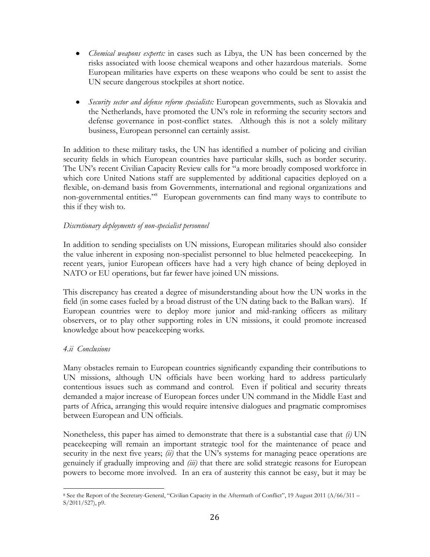- *Chemical weapons experts:* in cases such as Libya, the UN has been concerned by the risks associated with loose chemical weapons and other hazardous materials. Some European militaries have experts on these weapons who could be sent to assist the UN secure dangerous stockpiles at short notice.
- *Security sector and defense reform specialists:* European governments, such as Slovakia and the Netherlands, have promoted the UN"s role in reforming the security sectors and defense governance in post-conflict states. Although this is not a solely military business, European personnel can certainly assist.

In addition to these military tasks, the UN has identified a number of policing and civilian security fields in which European countries have particular skills, such as border security. The UN"s recent Civilian Capacity Review calls for "a more broadly composed workforce in which core United Nations staff are supplemented by additional capacities deployed on a flexible, on-demand basis from Governments, international and regional organizations and non-governmental entities."<sup>8</sup> European governments can find many ways to contribute to this if they wish to.

## *Discretionary deployments of non-specialist personnel*

In addition to sending specialists on UN missions, European militaries should also consider the value inherent in exposing non-specialist personnel to blue helmeted peacekeeping. In recent years, junior European officers have had a very high chance of being deployed in NATO or EU operations, but far fewer have joined UN missions.

This discrepancy has created a degree of misunderstanding about how the UN works in the field (in some cases fueled by a broad distrust of the UN dating back to the Balkan wars). If European countries were to deploy more junior and mid-ranking officers as military observers, or to play other supporting roles in UN missions, it could promote increased knowledge about how peacekeeping works.

## *4.ii Conclusions*

Many obstacles remain to European countries significantly expanding their contributions to UN missions, although UN officials have been working hard to address particularly contentious issues such as command and control. Even if political and security threats demanded a major increase of European forces under UN command in the Middle East and parts of Africa, arranging this would require intensive dialogues and pragmatic compromises between European and UN officials.

Nonetheless, this paper has aimed to demonstrate that there is a substantial case that *(i)* UN peacekeeping will remain an important strategic tool for the maintenance of peace and security in the next five years; *(ii)* that the UN's systems for managing peace operations are genuinely if gradually improving and *(iii)* that there are solid strategic reasons for European powers to become more involved. In an era of austerity this cannot be easy, but it may be

 $\overline{a}$ <sup>8</sup> See the Report of the Secretary-General, "Civilian Capacity in the Aftermath of Conflict", 19 August 2011 (A/66/311 – S/2011/527), p9.